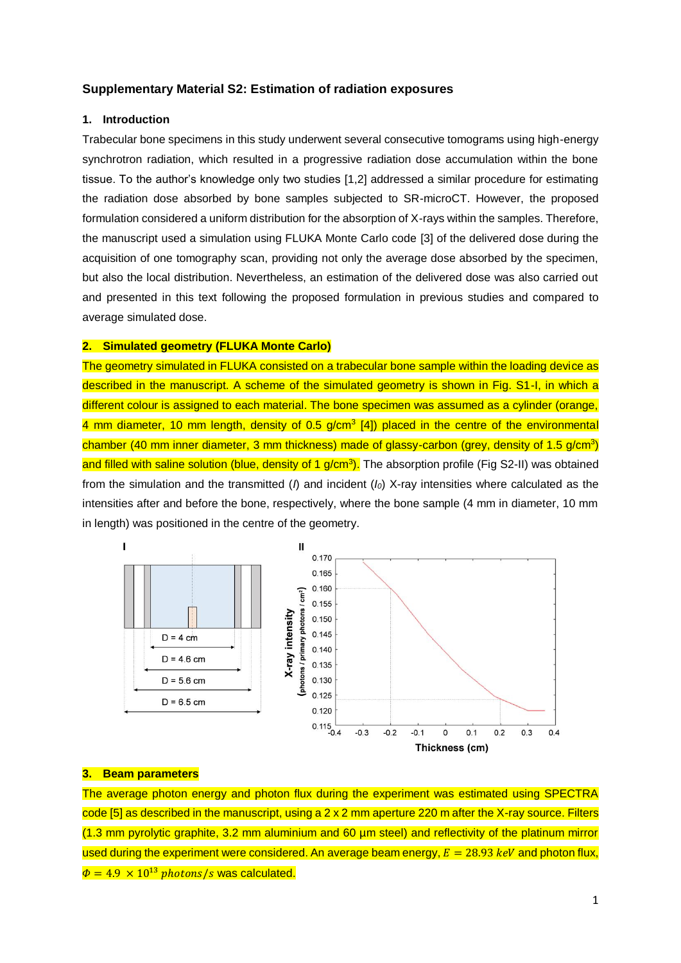### **Supplementary Material S2: Estimation of radiation exposures**

## **1. Introduction**

Trabecular bone specimens in this study underwent several consecutive tomograms using high-energy synchrotron radiation, which resulted in a progressive radiation dose accumulation within the bone tissue. To the author's knowledge only two studies [1,2] addressed a similar procedure for estimating the radiation dose absorbed by bone samples subjected to SR-microCT. However, the proposed formulation considered a uniform distribution for the absorption of X-rays within the samples. Therefore, the manuscript used a simulation using FLUKA Monte Carlo code [3] of the delivered dose during the acquisition of one tomography scan, providing not only the average dose absorbed by the specimen, but also the local distribution. Nevertheless, an estimation of the delivered dose was also carried out and presented in this text following the proposed formulation in previous studies and compared to average simulated dose.

# **2. Simulated geometry (FLUKA Monte Carlo)**

The geometry simulated in FLUKA consisted on a trabecular bone sample within the loading device as described in the manuscript. A scheme of the simulated geometry is shown in Fig. S1-I, in which a different colour is assigned to each material. The bone specimen was assumed as a cylinder (orange, 4 mm diameter, 10 mm length, density of 0.5 g/cm<sup>3</sup> [4]) placed in the centre of the environmental chamber (40 mm inner diameter, 3 mm thickness) made of glassy-carbon (grey, density of 1.5 g/cm<sup>3</sup>) and filled with saline solution (blue, density of 1 g/cm<sup>3</sup>). The absorption profile (Fig S2-II) was obtained from the simulation and the transmitted (*I*) and incident (*I0*) X-ray intensities where calculated as the intensities after and before the bone, respectively, where the bone sample (4 mm in diameter, 10 mm in length) was positioned in the centre of the geometry.



### **3. Beam parameters**

The average photon energy and photon flux during the experiment was estimated using SPECTRA code [5] as described in the manuscript, using a 2 x 2 mm aperture 220 m after the X-ray source. Filters (1.3 mm pyrolytic graphite, 3.2 mm aluminium and 60 µm steel) and reflectivity of the platinum mirror used during the experiment were considered. An average beam energy,  $E = 28.93$  keV and photon flux,  $\Phi = 4.9 \times 10^{13}$  photons/s was calculated.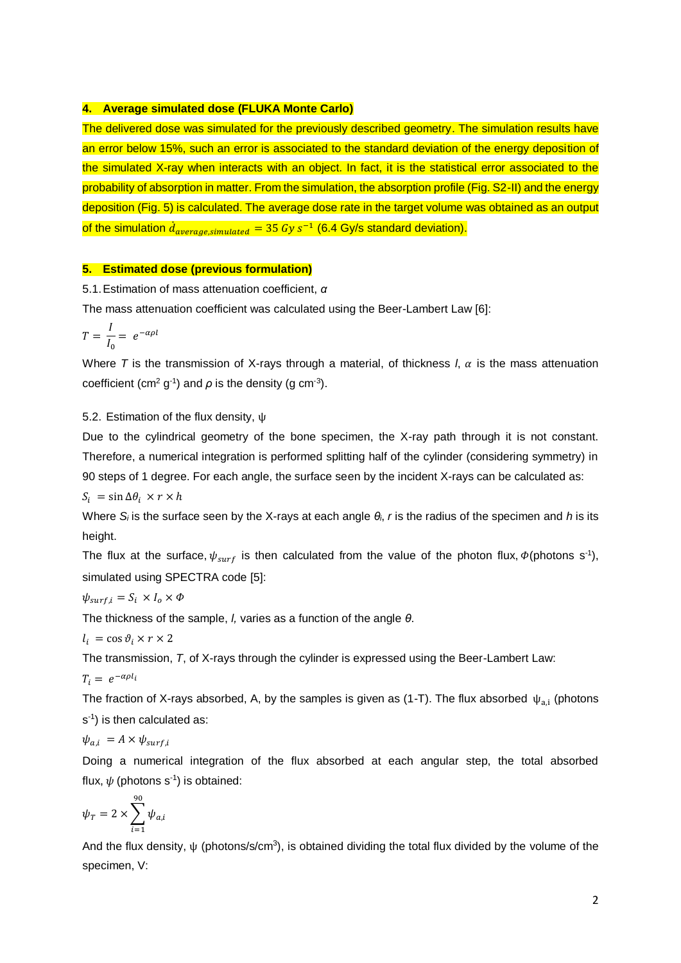#### **4. Average simulated dose (FLUKA Monte Carlo)**

The delivered dose was simulated for the previously described geometry. The simulation results have an error below 15%, such an error is associated to the standard deviation of the energy deposition of the simulated X-ray when interacts with an object. In fact, it is the statistical error associated to the probability of absorption in matter. From the simulation, the absorption profile (Fig. S2-II) and the energy deposition (Fig. 5) is calculated. The average dose rate in the target volume was obtained as an output of the simulation  $\dot{d}_{average, simulated} = 35 \ Gy \ s^{-1}$  (6.4 Gy/s standard deviation).

#### **5. Estimated dose (previous formulation)**

5.1.Estimation of mass attenuation coefficient, *α*

The mass attenuation coefficient was calculated using the Beer-Lambert Law [6]:

$$
T = \frac{I}{I_0} = e^{-\alpha \rho l}
$$

Where *T* is the transmission of X-rays through a material, of thickness *l*,  $\alpha$  is the mass attenuation coefficient (cm<sup>2</sup> g<sup>-1</sup>) and  $\rho$  is the density (g cm<sup>-3</sup>).

5.2. Estimation of the flux density, ψ

Due to the cylindrical geometry of the bone specimen, the X-ray path through it is not constant. Therefore, a numerical integration is performed splitting half of the cylinder (considering symmetry) in 90 steps of 1 degree. For each angle, the surface seen by the incident X-rays can be calculated as:

 $S_i = \sin \Delta \theta_i \times r \times h$ 

Where *S<sup>i</sup>* is the surface seen by the X-rays at each angle *θi*, *r* is the radius of the specimen and *h* is its height.

The flux at the surface,  $\psi_{surf}$  is then calculated from the value of the photon flux,  $\Phi$ (photons s<sup>-1</sup>), simulated using SPECTRA code [5]:

$$
\psi_{surf,i} = S_i \times I_o \times \Phi
$$

The thickness of the sample, *l,* varies as a function of the angle *θ*.

 $l_i = \cos \vartheta_i \times r \times 2$ 

The transmission, *T*, of X-rays through the cylinder is expressed using the Beer-Lambert Law:

$$
T_i = e^{-\alpha \rho l_i}
$$

The fraction of X-rays absorbed, A, by the samples is given as (1-T). The flux absorbed  $\psi_{a,i}$  (photons s<sup>-1</sup>) is then calculated as:

 $\psi_{a,i} = A \times \psi_{surf,i}$ 

Doing a numerical integration of the flux absorbed at each angular step, the total absorbed flux,  $\psi$  (photons s<sup>-1</sup>) is obtained:

$$
\psi_T = 2 \times \sum_{i=1}^{90} \psi_{a,i}
$$

And the flux density,  $\psi$  (photons/s/cm<sup>3</sup>), is obtained dividing the total flux divided by the volume of the specimen, V: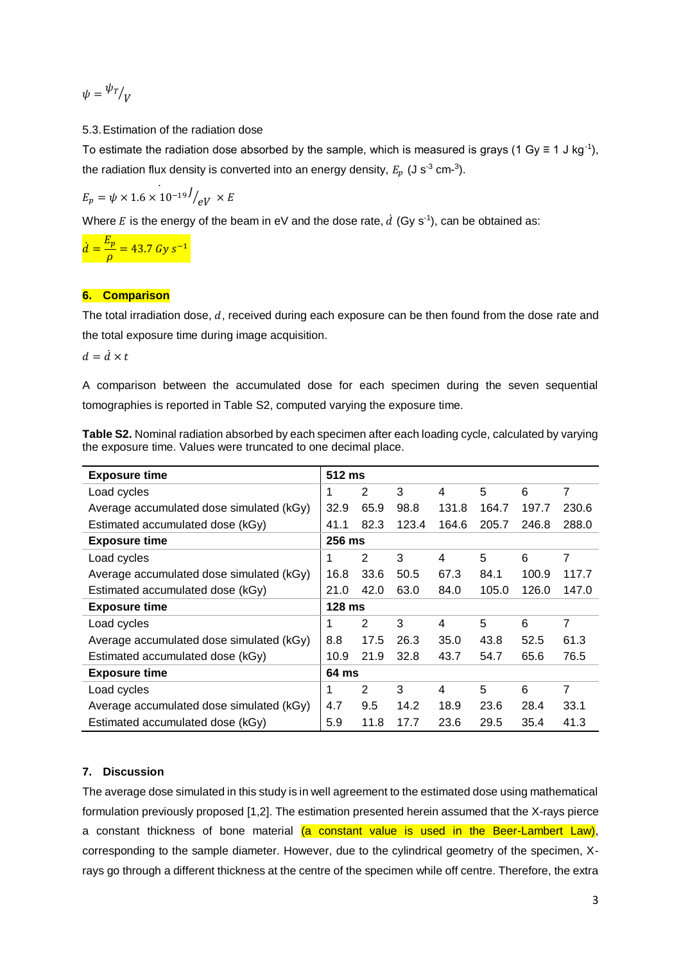$$
\psi = \frac{\psi_T}{V}
$$

5.3.Estimation of the radiation dose

To estimate the radiation dose absorbed by the sample, which is measured is grays (1 Gy  $\equiv$  1 J kg<sup>-1</sup>), the radiation flux density is converted into an energy density,  $E_p$  (J s<sup>-3</sup> cm-<sup>3</sup>).

$$
E_p = \psi \times 1.6 \times 10^{-19} J/_{eV} \times E
$$

Where E is the energy of the beam in eV and the dose rate,  $\dot{d}$  (Gy s<sup>-1</sup>), can be obtained as:

 $\dot{d} = \frac{E_p}{4}$  $\frac{\mu_p}{\rho}$  = 43.7 Gy s<sup>-1</sup>

## **6. Comparison**

The total irradiation dose,  $d$ , received during each exposure can be then found from the dose rate and the total exposure time during image acquisition.

 $d = \dot{d} \times t$ 

A comparison between the accumulated dose for each specimen during the seven sequential tomographies is reported in Table S2, computed varying the exposure time.

| Table S2. Nominal radiation absorbed by each specimen after each loading cycle, calculated by varying |  |  |
|-------------------------------------------------------------------------------------------------------|--|--|
| the exposure time. Values were truncated to one decimal place.                                        |  |  |

| <b>Exposure time</b>                     |  | 512 ms         |       |       |       |       |       |  |  |  |
|------------------------------------------|--|----------------|-------|-------|-------|-------|-------|--|--|--|
| Load cycles                              |  | $\overline{2}$ | 3     | 4     | 5     | 6     | 7     |  |  |  |
| Average accumulated dose simulated (kGy) |  | 65.9           | 98.8  | 131.8 | 164.7 | 197.7 | 230.6 |  |  |  |
| Estimated accumulated dose (kGy)         |  | 82.3           | 123.4 | 164.6 | 205.7 | 246.8 | 288.0 |  |  |  |
| <b>Exposure time</b>                     |  | 256 ms         |       |       |       |       |       |  |  |  |
| Load cycles                              |  | 2              | 3     | 4     | 5     | 6     | 7     |  |  |  |
| Average accumulated dose simulated (kGy) |  | 33.6           | 50.5  | 67.3  | 84.1  | 100.9 | 117.7 |  |  |  |
| Estimated accumulated dose (kGy)         |  | 42.0           | 63.0  | 84.0  | 105.0 | 126.0 | 147.0 |  |  |  |
| <b>Exposure time</b>                     |  | $128$ ms       |       |       |       |       |       |  |  |  |
| Load cycles                              |  | 2              | 3     | 4     | 5     | 6     | 7     |  |  |  |
| Average accumulated dose simulated (kGy) |  | 17.5           | 26.3  | 35.0  | 43.8  | 52.5  | 61.3  |  |  |  |
| Estimated accumulated dose (kGy)         |  | 21.9           | 32.8  | 43.7  | 54.7  | 65.6  | 76.5  |  |  |  |
| <b>Exposure time</b>                     |  | 64 ms          |       |       |       |       |       |  |  |  |
| Load cycles                              |  | 2              | 3     | 4     | 5     | 6     | 7     |  |  |  |
| Average accumulated dose simulated (kGy) |  | 9.5            | 14.2  | 18.9  | 23.6  | 28.4  | 33.1  |  |  |  |
| Estimated accumulated dose (kGy)         |  | 11.8           | 17.7  | 23.6  | 29.5  | 35.4  | 41.3  |  |  |  |

## **7. Discussion**

The average dose simulated in this study is in well agreement to the estimated dose using mathematical formulation previously proposed [1,2]. The estimation presented herein assumed that the X-rays pierce a constant thickness of bone material (a constant value is used in the Beer-Lambert Law), corresponding to the sample diameter. However, due to the cylindrical geometry of the specimen, Xrays go through a different thickness at the centre of the specimen while off centre. Therefore, the extra